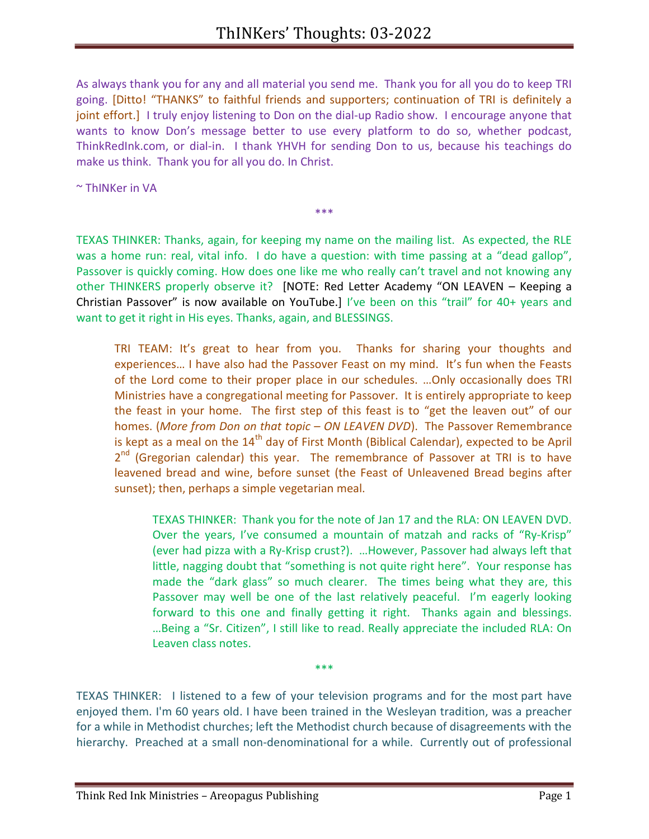As always thank you for any and all material you send me. Thank you for all you do to keep TRI going. [Ditto! "THANKS" to faithful friends and supporters; continuation of TRI is definitely a joint effort.] I truly enjoy listening to Don on the dial-up Radio show. I encourage anyone that wants to know Don's message better to use every platform to do so, whether podcast, ThinkRedInk.com, or dial-in. I thank YHVH for sending Don to us, because his teachings do make us think. Thank you for all you do. In Christ.

~ ThINKer in VA

TEXAS THINKER: Thanks, again, for keeping my name on the mailing list. As expected, the RLE was a home run: real, vital info. I do have a question: with time passing at a "dead gallop", Passover is quickly coming. How does one like me who really can't travel and not knowing any other THINKERS properly observe it? [NOTE: Red Letter Academy "ON LEAVEN – Keeping a Christian Passover" is now available on YouTube.] I've been on this "trail" for 40+ years and want to get it right in His eyes. Thanks, again, and BLESSINGS.

\*\*\*

TRI TEAM: It's great to hear from you. Thanks for sharing your thoughts and experiences… I have also had the Passover Feast on my mind. It's fun when the Feasts of the Lord come to their proper place in our schedules. …Only occasionally does TRI Ministries have a congregational meeting for Passover. It is entirely appropriate to keep the feast in your home. The first step of this feast is to "get the leaven out" of our homes. (More from Don on that topic – ON LEAVEN DVD). The Passover Remembrance is kept as a meal on the  $14<sup>th</sup>$  day of First Month (Biblical Calendar), expected to be April 2<sup>nd</sup> (Gregorian calendar) this year. The remembrance of Passover at TRI is to have leavened bread and wine, before sunset (the Feast of Unleavened Bread begins after sunset); then, perhaps a simple vegetarian meal.

TEXAS THINKER: Thank you for the note of Jan 17 and the RLA: ON LEAVEN DVD. Over the years, I've consumed a mountain of matzah and racks of "Ry-Krisp" (ever had pizza with a Ry-Krisp crust?). …However, Passover had always left that little, nagging doubt that "something is not quite right here". Your response has made the "dark glass" so much clearer. The times being what they are, this Passover may well be one of the last relatively peaceful. I'm eagerly looking forward to this one and finally getting it right. Thanks again and blessings. …Being a "Sr. Citizen", I still like to read. Really appreciate the included RLA: On Leaven class notes.

TEXAS THINKER: I listened to a few of your television programs and for the most part have enjoyed them. I'm 60 years old. I have been trained in the Wesleyan tradition, was a preacher for a while in Methodist churches; left the Methodist church because of disagreements with the hierarchy. Preached at a small non-denominational for a while. Currently out of professional

\*\*\*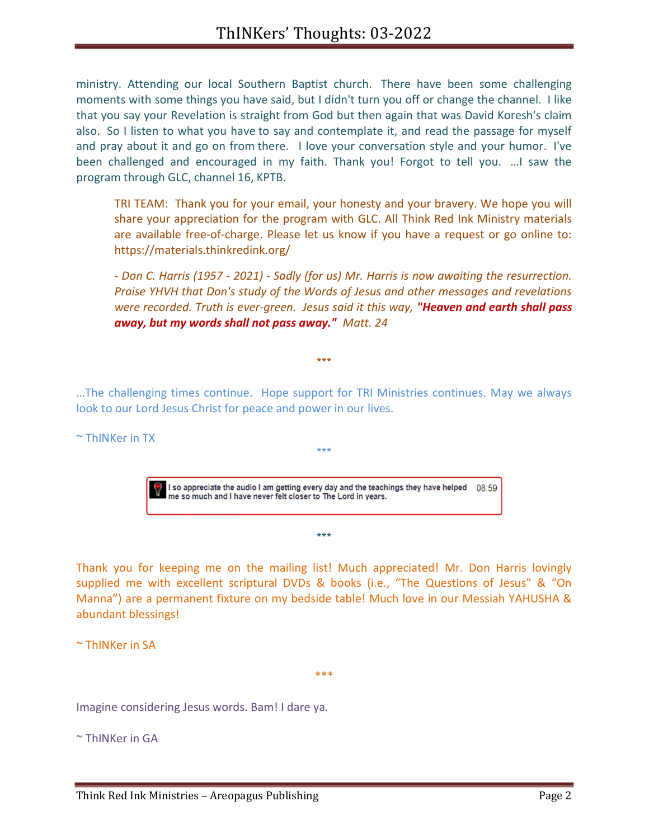ministry. Attending our local Southern Baptist church. There have been some challenging moments with some things you have said, but I didn't turn you off or change the channel. I like that you say your Revelation is straight from God but then again that was David Koresh's claim also. So I listen to what you have to say and contemplate it, and read the passage for myself and pray about it and go on from there. I love your conversation style and your humor. I've been challenged and encouraged in my faith. Thank you! Forgot to tell you. …I saw the program through GLC, channel 16, KPTB.

TRI TEAM: Thank you for your email, your honesty and your bravery. We hope you will share your appreciation for the program with GLC. All Think Red Ink Ministry materials are available free-of-charge. Please let us know if you have a request or go online to: https://materials.thinkredink.org/

- Don C. Harris (1957 - 2021) - Sadly (for us) Mr. Harris is now awaiting the resurrection. Praise YHVH that Don's study of the Words of Jesus and other messages and revelations were recorded. Truth is ever-green. Jesus said it this way, "Heaven and earth shall pass away, but my words shall not pass away." Matt. 24

…The challenging times continue. Hope support for TRI Ministries continues. May we always look to our Lord Jesus Christ for peace and power in our lives.

\*\*\*

~ ThINKer in TX

I so appreciate the audio I am getting every day and the teachings they have helped  $08:59$  me so much and I have never felt closer to The Lord in years.

\*\*\*

\*\*\*

Thank you for keeping me on the mailing list! Much appreciated! Mr. Don Harris lovingly supplied me with excellent scriptural DVDs & books (i.e., "The Questions of Jesus" & "On Manna") are a permanent fixture on my bedside table! Much love in our Messiah YAHUSHA & abundant blessings!

\*\*\*

~ ThINKer in SA

Imagine considering Jesus words. Bam! I dare ya.

 $\sim$  ThINKer in GA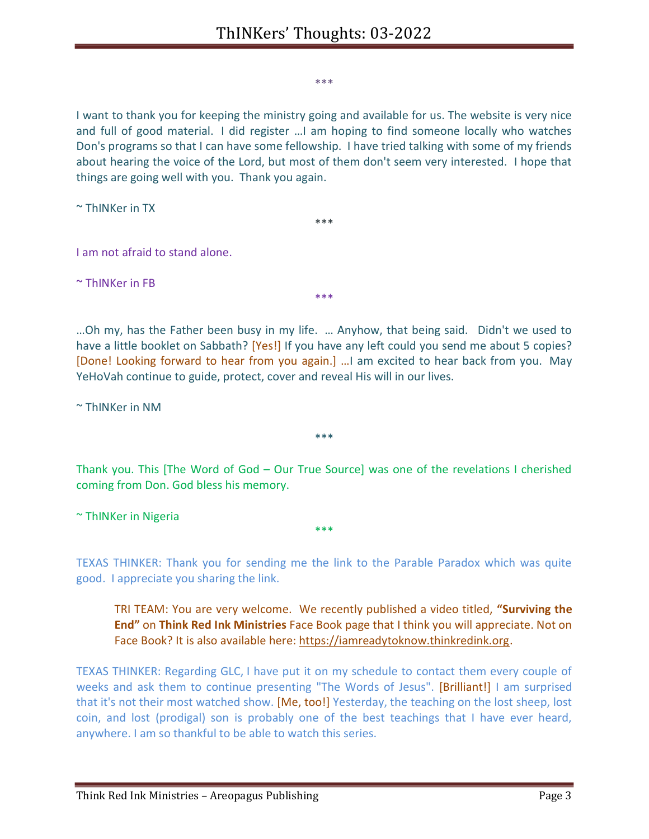\*\*\*

I want to thank you for keeping the ministry going and available for us. The website is very nice and full of good material. I did register …I am hoping to find someone locally who watches Don's programs so that I can have some fellowship. I have tried talking with some of my friends about hearing the voice of the Lord, but most of them don't seem very interested. I hope that things are going well with you. Thank you again.

\*\*\*

~ ThINKer in TX

I am not afraid to stand alone.

~ ThINKer in FB

…Oh my, has the Father been busy in my life. … Anyhow, that being said. Didn't we used to have a little booklet on Sabbath? [Yes!] If you have any left could you send me about 5 copies? [Done! Looking forward to hear from you again.] …I am excited to hear back from you. May YeHoVah continue to guide, protect, cover and reveal His will in our lives.

\*\*\*

~ ThINKer in NM

Thank you. This [The Word of God – Our True Source] was one of the revelations I cherished coming from Don. God bless his memory.

\*\*\*

~ ThINKer in Nigeria

TEXAS THINKER: Thank you for sending me the link to the Parable Paradox which was quite good. I appreciate you sharing the link.

\*\*\*

TRI TEAM: You are very welcome. We recently published a video titled, "Surviving the End" on Think Red Ink Ministries Face Book page that I think you will appreciate. Not on Face Book? It is also available here: https://iamreadytoknow.thinkredink.org.

TEXAS THINKER: Regarding GLC, I have put it on my schedule to contact them every couple of weeks and ask them to continue presenting "The Words of Jesus". [Brilliant!] I am surprised that it's not their most watched show. [Me, too!] Yesterday, the teaching on the lost sheep, lost coin, and lost (prodigal) son is probably one of the best teachings that I have ever heard, anywhere. I am so thankful to be able to watch this series.